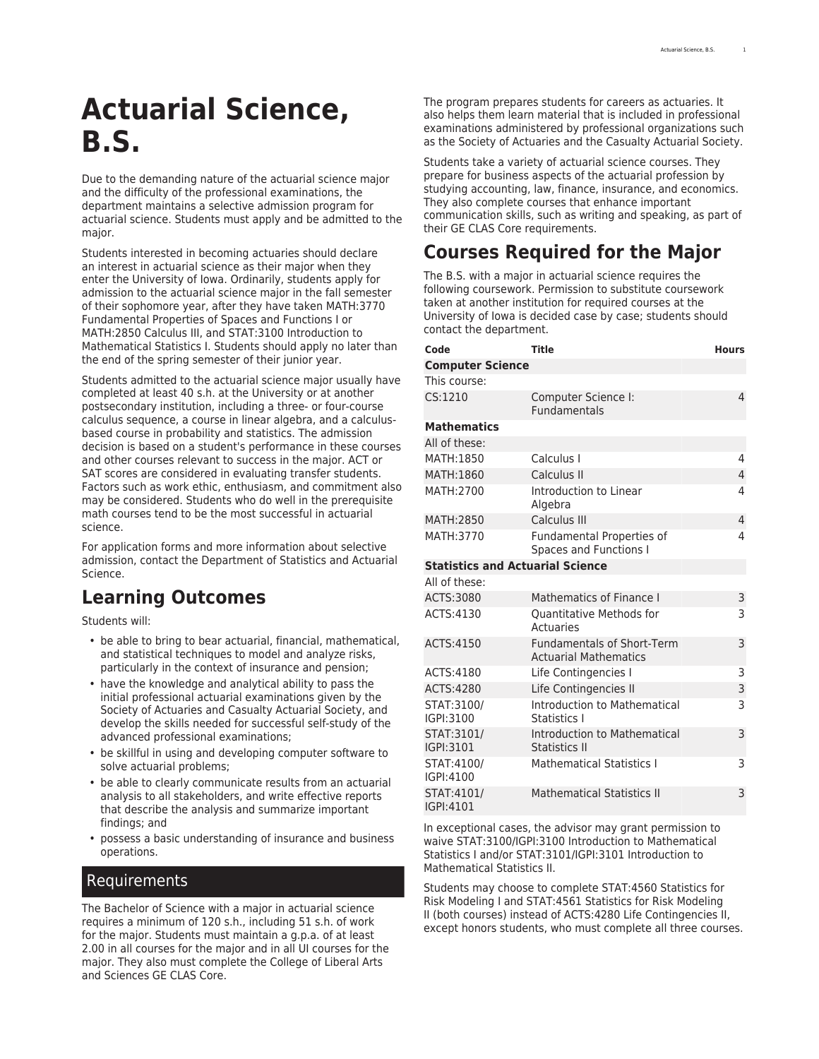# **Actuarial Science, B.S.**

Due to the demanding nature of the actuarial science major and the difficulty of the professional examinations, the department maintains a selective admission program for actuarial science. Students must apply and be admitted to the major.

Students interested in becoming actuaries should declare an interest in actuarial science as their major when they enter the University of Iowa. Ordinarily, students apply for admission to the actuarial science major in the fall semester of their sophomore year, after they have taken MATH:3770 Fundamental Properties of Spaces and Functions I or MATH:2850 Calculus III, and STAT:3100 Introduction to Mathematical Statistics I. Students should apply no later than the end of the spring semester of their junior year.

Students admitted to the actuarial science major usually have completed at least 40 s.h. at the University or at another postsecondary institution, including a three- or four-course calculus sequence, a course in linear algebra, and a calculusbased course in probability and statistics. The admission decision is based on a student's performance in these courses and other courses relevant to success in the major. ACT or SAT scores are considered in evaluating transfer students. Factors such as work ethic, enthusiasm, and commitment also may be considered. Students who do well in the prerequisite math courses tend to be the most successful in actuarial science.

For application forms and more information about selective admission, contact the [Department of Statistics and Actuarial](https://stat.uiowa.edu/) [Science.](https://stat.uiowa.edu/)

## **Learning Outcomes**

Students will:

- be able to bring to bear actuarial, financial, mathematical, and statistical techniques to model and analyze risks, particularly in the context of insurance and pension;
- have the knowledge and analytical ability to pass the initial professional actuarial examinations given by the Society of Actuaries and Casualty Actuarial Society, and develop the skills needed for successful self-study of the advanced professional examinations;
- be skillful in using and developing computer software to solve actuarial problems;
- be able to clearly communicate results from an actuarial analysis to all stakeholders, and write effective reports that describe the analysis and summarize important findings; and
- possess a basic understanding of insurance and business operations.

#### Requirements

The Bachelor of Science with a major in actuarial science requires a minimum of 120 s.h., including 51 s.h. of work for the major. Students must maintain a g.p.a. of at least 2.00 in all courses for the major and in all UI courses for the major. They also must complete the College of Liberal Arts and Sciences [GE CLAS Core](http://catalog.registrar.uiowa.edu/liberal-arts-sciences/general-education-program/).

The program prepares students for careers as actuaries. It also helps them learn material that is included in professional examinations administered by professional organizations such as the [Society of Actuaries](https://www.soa.org/) and the [Casualty Actuarial Society](https://www.casact.org/).

Students take a variety of actuarial science courses. They prepare for business aspects of the actuarial profession by studying accounting, law, finance, insurance, and economics. They also complete courses that enhance important communication skills, such as writing and speaking, as part of their GE CLAS Core requirements.

# **Courses Required for the Major**

The B.S. with a major in actuarial science requires the following coursework. Permission to substitute coursework taken at another institution for required courses at the University of Iowa is decided case by case; students should contact the department.

| Code                                    | <b>Title</b>                                                      | <b>Hours</b>   |  |  |
|-----------------------------------------|-------------------------------------------------------------------|----------------|--|--|
| <b>Computer Science</b>                 |                                                                   |                |  |  |
| This course:                            |                                                                   |                |  |  |
| CS:1210                                 | Computer Science I:<br><b>Fundamentals</b>                        | $\overline{4}$ |  |  |
| <b>Mathematics</b>                      |                                                                   |                |  |  |
| All of these:                           |                                                                   |                |  |  |
| MATH:1850                               | Calculus I                                                        | 4              |  |  |
| MATH:1860                               | Calculus II                                                       | $\overline{4}$ |  |  |
| MATH:2700                               | Introduction to Linear<br>Algebra                                 | 4              |  |  |
| MATH:2850                               | Calculus III                                                      | $\overline{4}$ |  |  |
| MATH:3770                               | Fundamental Properties of<br>Spaces and Functions I               | 4              |  |  |
| <b>Statistics and Actuarial Science</b> |                                                                   |                |  |  |
| All of these:                           |                                                                   |                |  |  |
| ACTS:3080                               | Mathematics of Finance I                                          | 3              |  |  |
| ACTS:4130                               | <b>Ouantitative Methods for</b><br>Actuaries                      | 3              |  |  |
| ACTS:4150                               | <b>Fundamentals of Short-Term</b><br><b>Actuarial Mathematics</b> | 3              |  |  |
| ACTS:4180                               | Life Contingencies I                                              | 3              |  |  |
| ACTS:4280                               | Life Contingencies II                                             | 3              |  |  |
| STAT:3100/<br>IGPI:3100                 | Introduction to Mathematical<br>Statistics I                      | 3              |  |  |
| STAT:3101/<br>IGPI:3101                 | Introduction to Mathematical<br><b>Statistics II</b>              | 3              |  |  |
| STAT:4100/<br>IGPI:4100                 | <b>Mathematical Statistics I</b>                                  | 3              |  |  |
| STAT:4101/<br>IGPI:4101                 | <b>Mathematical Statistics II</b>                                 | 3              |  |  |

In exceptional cases, the advisor may grant permission to waive STAT:3100/IGPI:3100 Introduction to Mathematical Statistics I and/or STAT:3101/IGPI:3101 Introduction to Mathematical Statistics II.

Students may choose to complete STAT:4560 Statistics for Risk Modeling I and STAT:4561 Statistics for Risk Modeling II (both courses) instead of ACTS:4280 Life Contingencies II, except honors students, who must complete all three courses.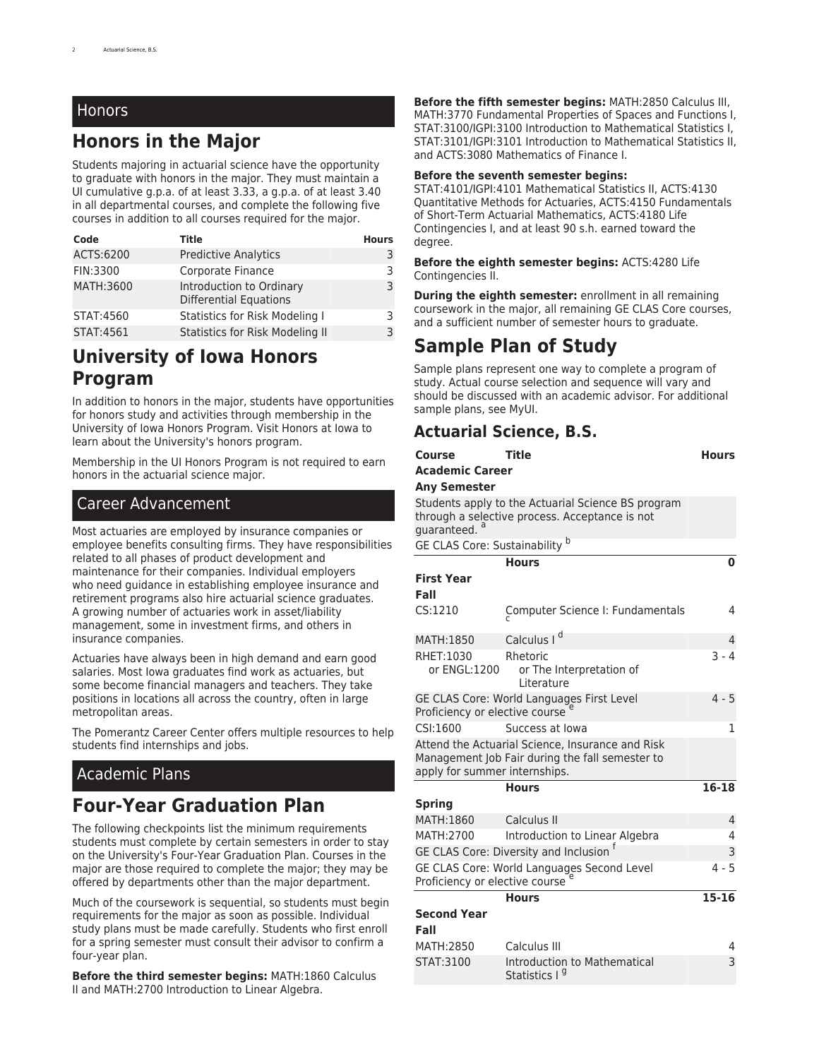#### Honors

## **Honors in the Major**

Students majoring in actuarial science have the opportunity to graduate with honors in the major. They must maintain a UI cumulative g.p.a. of at least 3.33, a g.p.a. of at least 3.40 in all departmental courses, and complete the following five courses in addition to all courses required for the major.

| Code       | Title                                                     | <b>Hours</b> |
|------------|-----------------------------------------------------------|--------------|
| ACTS:6200  | <b>Predictive Analytics</b>                               | 3            |
| FIN:3300   | Corporate Finance                                         | 3            |
| MATH: 3600 | Introduction to Ordinary<br><b>Differential Equations</b> | 3            |
| STAT:4560  | Statistics for Risk Modeling I                            | 3            |
| STAT:4561  | Statistics for Risk Modeling II                           | 3            |

### **University of Iowa Honors Program**

In addition to honors in the major, students have opportunities for honors study and activities through membership in the University of Iowa Honors Program. Visit [Honors at Iowa](https://honors.uiowa.edu/) to learn about the University's honors program.

Membership in the UI Honors Program is not required to earn honors in the actuarial science major.

#### Career Advancement

Most actuaries are employed by insurance companies or employee benefits consulting firms. They have responsibilities related to all phases of product development and maintenance for their companies. Individual employers who need guidance in establishing employee insurance and retirement programs also hire actuarial science graduates. A growing number of actuaries work in asset/liability management, some in investment firms, and others in insurance companies.

Actuaries have always been in high demand and earn good salaries. Most Iowa graduates find work as actuaries, but some become financial managers and teachers. They take positions in locations all across the country, often in large metropolitan areas.

The [Pomerantz Career Center](https://careers.uiowa.edu/) offers multiple resources to help students find internships and jobs.

#### Academic Plans

#### **Four-Year Graduation Plan**

The following checkpoints list the minimum requirements students must complete by certain semesters in order to stay on the University's [Four-Year Graduation Plan.](https://newstudents.uiowa.edu/graduate-four-years/) Courses in the major are those required to complete the major; they may be offered by departments other than the major department.

Much of the coursework is sequential, so students must begin requirements for the major as soon as possible. Individual study plans must be made carefully. Students who first enroll for a spring semester must consult their advisor to confirm a four-year plan.

**Before the third semester begins:** MATH:1860 Calculus II and MATH:2700 Introduction to Linear Algebra.

**Before the fifth semester begins:** MATH:2850 Calculus III, MATH:3770 Fundamental Properties of Spaces and Functions I, STAT:3100/IGPI:3100 Introduction to Mathematical Statistics I, STAT:3101/IGPI:3101 Introduction to Mathematical Statistics II, and ACTS:3080 Mathematics of Finance I.

#### **Before the seventh semester begins:**

STAT:4101/IGPI:4101 Mathematical Statistics II, ACTS:4130 Quantitative Methods for Actuaries, ACTS:4150 Fundamentals of Short-Term Actuarial Mathematics, ACTS:4180 Life Contingencies I, and at least 90 s.h. earned toward the degree.

**Before the eighth semester begins:** ACTS:4280 Life Contingencies II.

**During the eighth semester:** enrollment in all remaining coursework in the major, all remaining GE CLAS Core courses, and a sufficient number of semester hours to graduate.

## **Sample Plan of Study**

Sample plans represent one way to complete a program of study. Actual course selection and sequence will vary and should be discussed with an academic advisor. For additional sample plans, see [MyUI.](https://myui.uiowa.edu/my-ui/student/records/advising/plans/sample-plan-search.page)

#### **Actuarial Science, B.S.**

| Course                                                                                                                               | <b>Title</b>                                                     | <b>Hours</b> |  |  |
|--------------------------------------------------------------------------------------------------------------------------------------|------------------------------------------------------------------|--------------|--|--|
| <b>Academic Career</b>                                                                                                               |                                                                  |              |  |  |
| <b>Any Semester</b>                                                                                                                  |                                                                  |              |  |  |
| Students apply to the Actuarial Science BS program<br>through a selective process. Acceptance is not<br>quaranteed.                  |                                                                  |              |  |  |
| GE CLAS Core: Sustainability b                                                                                                       |                                                                  |              |  |  |
|                                                                                                                                      | <b>Hours</b>                                                     | 0            |  |  |
| <b>First Year</b><br>Fall                                                                                                            |                                                                  |              |  |  |
| CS:1210                                                                                                                              | Computer Science I: Fundamentals                                 | 4            |  |  |
| MATH:1850                                                                                                                            | Calculus I <sup>d</sup>                                          | 4            |  |  |
| RHET:1030<br>or ENGL:1200                                                                                                            | Rhetoric<br>or The Interpretation of<br>Literature               | $3 - 4$      |  |  |
| $4 - 5$<br>GE CLAS Core: World Languages First Level<br>Proficiency or elective course                                               |                                                                  |              |  |  |
| CSI:1600                                                                                                                             | Success at Iowa                                                  | 1            |  |  |
| Attend the Actuarial Science, Insurance and Risk<br>Management Job Fair during the fall semester to<br>apply for summer internships. |                                                                  |              |  |  |
|                                                                                                                                      | <b>Hours</b>                                                     | 16-18        |  |  |
| <b>Spring</b>                                                                                                                        |                                                                  |              |  |  |
| MATH:1860                                                                                                                            | Calculus II                                                      | 4            |  |  |
| MATH:2700                                                                                                                            | Introduction to Linear Algebra                                   | 4            |  |  |
| GE CLAS Core: Diversity and Inclusion <sup>t</sup><br>3                                                                              |                                                                  |              |  |  |
| $4 - 5$<br>GE CLAS Core: World Languages Second Level<br>Proficiency or elective course                                              |                                                                  |              |  |  |
|                                                                                                                                      | <b>Hours</b>                                                     | $15 - 16$    |  |  |
| <b>Second Year</b><br>Fall                                                                                                           |                                                                  |              |  |  |
| MATH:2850                                                                                                                            | Calculus III                                                     | 4            |  |  |
| STAT:3100                                                                                                                            | <b>Introduction to Mathematical</b><br>Statistics I <sup>9</sup> | 3            |  |  |